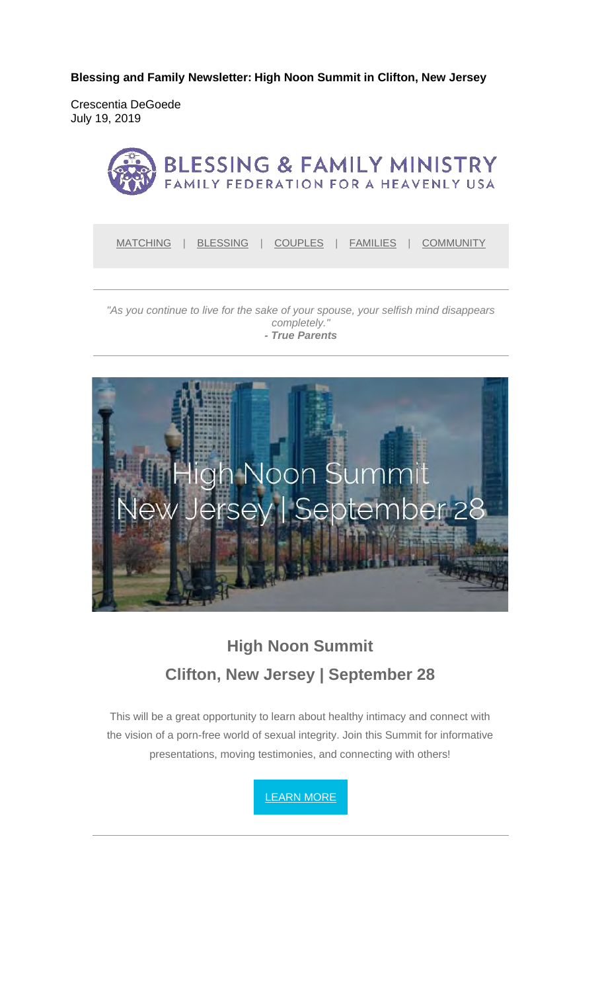**Blessing and Family Newsletter: High Noon Summit in Clifton, New Jersey** 

Crescentia DeGoede July 19, 2019



MATCHING | BLESSING | COUPLES | FAMILIES | COMMUNITY

#### *"As you continue to live for the sake of your spouse, your selfish mind disappears completely." - True Parents*



# **High Noon Summit Clifton, New Jersey | September 28**

This will be a great opportunity to learn about healthy intimacy and connect with the vision of a porn-free world of sexual integrity. Join this Summit for informative presentations, moving testimonies, and connecting with others!

LEARN MORE